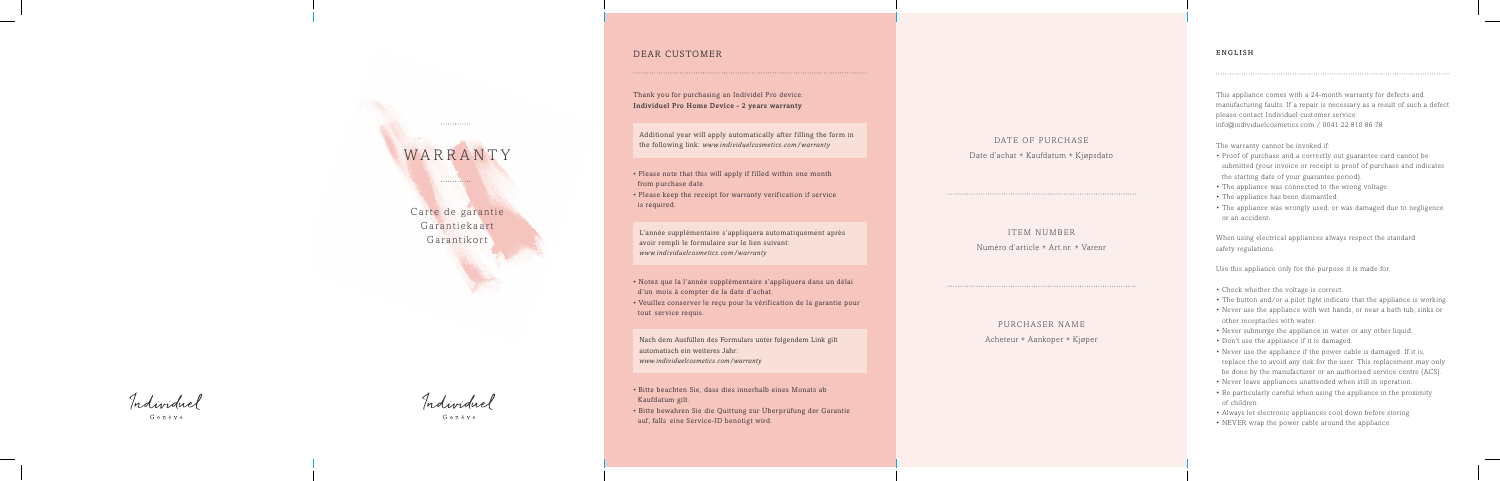# WARRANT

 $............$ 

. . . . . . . . . . . . .

Carte de garantie Garantiekaart Garantikort

Individual

Genève

Individuel

Genève

# DEAR CUSTOMER

Thank you for purchasing an Individel Pro device. Individuel Pro Home Device - 2 years warranty

Additional year will apply automatically after filling the form in the following link: www.individuelcosmetics.com/warranty

- Please note that this will apply if filled within one month from purchase date.
- Please keep the receipt for warranty verification if service is required.

L'année supplémentaire s'appliquera automatiquement après avoir rempli le formulaire sur le lien suivant: www.individuelcosmetics.com/warranty

- Notez que la l'année supplémentaire s'appliquera dans un délai d'un mois à compter de la date d'achat.
- Veuillez conserver le reçu pour la vérification de la garantie pour tout service requis.

Nach dem Ausfüllen des Formulars unter folgendem Link gilt automatisch ein weiteres Jahr: www.individuelcosmetics.com/warranty

- Bitte beachten Sie, dass dies innerhalb eines Monats ab Kaufdatum gilt.
- Bitte bewahren Sie die Quittung zur Überprüfung der Garantie auf, falls eine Service-ID benötigt wird.

# DATE OF PURCHASE

Date d'achat \* Kaufdatum \* Kjøpsdato

## ITEM NUMBER

Numéro d'article \* Art.nr. \* Varenr

# PURCHASER NAME

Acheteur Aankoper\* Kjøper\*

## ENGLISH

This appliance comes with a 24-month warranty for defects and manufacturing faults. If a repair is necessary as a result of such a defect please contact Individuel customer service:  $info@individuelcosmetics.com / 0041 22 810 86 78$ 

- The warranty cannot be invoked if:<br>• Proof of purchase and a correctly out guarantee card cannot be submitted (your invoice or receipt is proof of purchase and indicates the starting date of your guarantee period).
- 
- 
- The appliance was connected to the wrong voltage.<br>• The appliance has been dismantled.<br>• The appliance was wrongly used, or was damaged due to negligence or an accident.

When using electrical appliances always respect the standard safety regulations.

- 
- Use this appliance only for the purpose it is made for.<br>
Check whether the voltage is correct.<br>
The button and/or a pilot light indicate that the appliance is working.<br>
Never use the appliance with wet hands, or nea
- other receptacles with water.
- 
- 
- Never submerge the appliance in water or any other liquid.<br>• Don't use the appliance if it is damaged.<br>• Never use the appliance if the power cable is damaged. If it is, replace the to avoid any risk for the user. This replacement may only be done by the manufacturer or an authorised service centre (ACS).

 $\overline{\phantom{a}}$ 

- Never leave appliances unattended when still in operation.<br>• Be particularly careful when using the appliance in the proximity
- of children.
- Always let electronic appliances cool down before storing.<br>• NEVER wrap the power cable around the appliance.
-